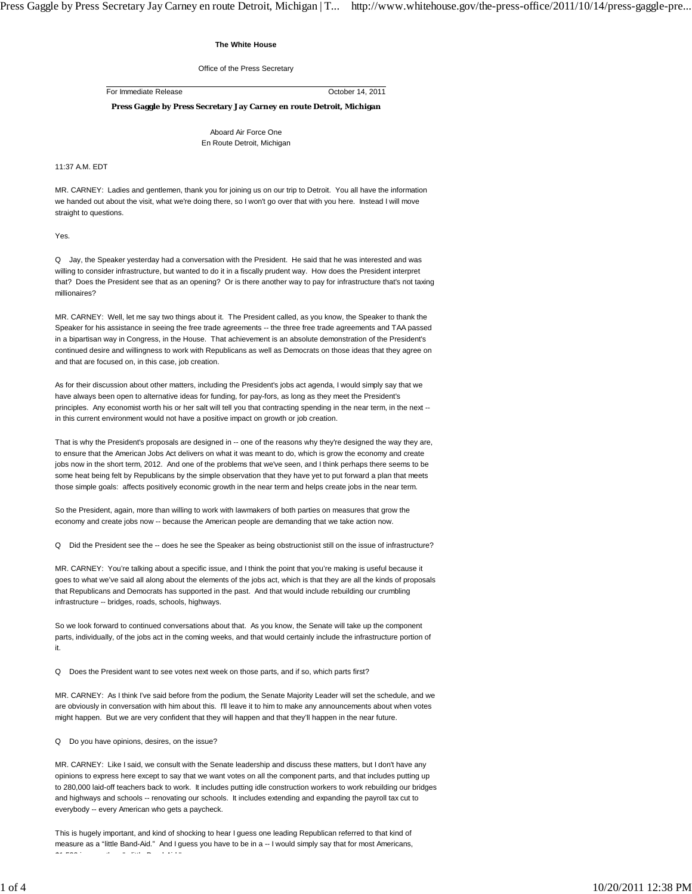## **The White House**

Office of the Press Secretary

For Immediate Release October 14, 2011

**Press Gaggle by Press Secretary Jay Carney en route Detroit, Michigan**

Aboard Air Force One En Route Detroit, Michigan

11:37 A.M. EDT

MR. CARNEY: Ladies and gentlemen, thank you for joining us on our trip to Detroit. You all have the information we handed out about the visit, what we're doing there, so I won't go over that with you here. Instead I will move straight to questions.

Yes.

Q Jay, the Speaker yesterday had a conversation with the President. He said that he was interested and was willing to consider infrastructure, but wanted to do it in a fiscally prudent way. How does the President interpret that? Does the President see that as an opening? Or is there another way to pay for infrastructure that's not taxing millionaires?

MR. CARNEY: Well, let me say two things about it. The President called, as you know, the Speaker to thank the Speaker for his assistance in seeing the free trade agreements -- the three free trade agreements and TAA passed in a bipartisan way in Congress, in the House. That achievement is an absolute demonstration of the President's continued desire and willingness to work with Republicans as well as Democrats on those ideas that they agree on and that are focused on, in this case, job creation.

As for their discussion about other matters, including the President's jobs act agenda, I would simply say that we have always been open to alternative ideas for funding, for pay-fors, as long as they meet the President's principles. Any economist worth his or her salt will tell you that contracting spending in the near term, in the next -in this current environment would not have a positive impact on growth or job creation.

That is why the President's proposals are designed in -- one of the reasons why they're designed the way they are, to ensure that the American Jobs Act delivers on what it was meant to do, which is grow the economy and create jobs now in the short term, 2012. And one of the problems that we've seen, and I think perhaps there seems to be some heat being felt by Republicans by the simple observation that they have yet to put forward a plan that meets those simple goals: affects positively economic growth in the near term and helps create jobs in the near term.

So the President, again, more than willing to work with lawmakers of both parties on measures that grow the economy and create jobs now -- because the American people are demanding that we take action now.

Q Did the President see the -- does he see the Speaker as being obstructionist still on the issue of infrastructure?

MR. CARNEY: You're talking about a specific issue, and I think the point that you're making is useful because it goes to what we've said all along about the elements of the jobs act, which is that they are all the kinds of proposals that Republicans and Democrats has supported in the past. And that would include rebuilding our crumbling infrastructure -- bridges, roads, schools, highways.

So we look forward to continued conversations about that. As you know, the Senate will take up the component parts, individually, of the jobs act in the coming weeks, and that would certainly include the infrastructure portion of it.

Q Does the President want to see votes next week on those parts, and if so, which parts first?

MR. CARNEY: As I think I've said before from the podium, the Senate Majority Leader will set the schedule, and we are obviously in conversation with him about this. I'll leave it to him to make any announcements about when votes might happen. But we are very confident that they will happen and that they'll happen in the near future.

Q Do you have opinions, desires, on the issue?

MR. CARNEY: Like I said, we consult with the Senate leadership and discuss these matters, but I don't have any opinions to express here except to say that we want votes on all the component parts, and that includes putting up to 280,000 laid-off teachers back to work. It includes putting idle construction workers to work rebuilding our bridges and highways and schools -- renovating our schools. It includes extending and expanding the payroll tax cut to everybody -- every American who gets a paycheck.

This is hugely important, and kind of shocking to hear I guess one leading Republican referred to that kind of measure as a "little Band-Aid." And I guess you have to be in a -- I would simply say that for most Americans, \$1 500 i th " littl B d Aid "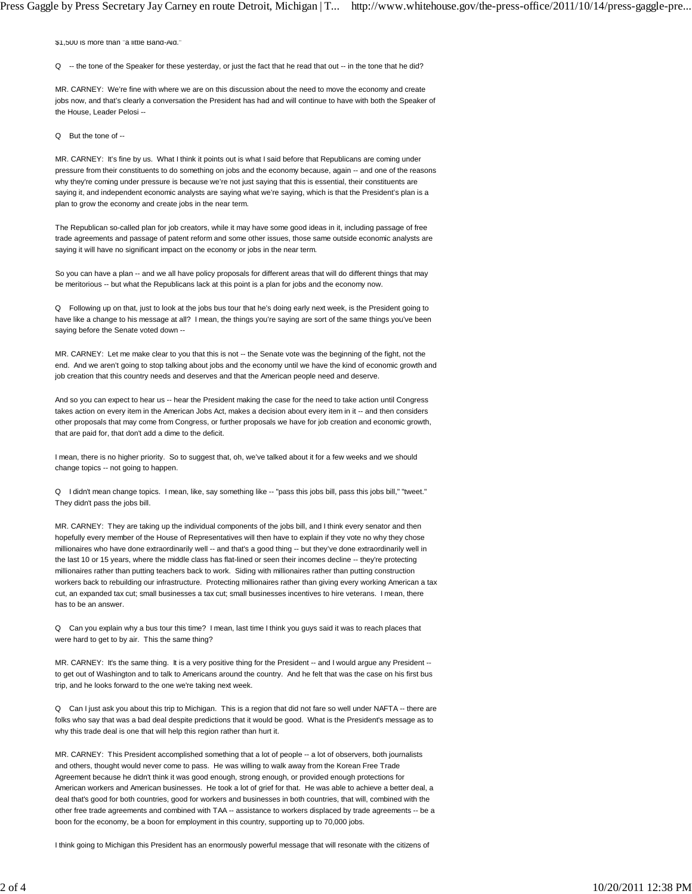\$1,500 is more than "a little Band-Aid."

Q -- the tone of the Speaker for these yesterday, or just the fact that he read that out -- in the tone that he did?

MR. CARNEY: We're fine with where we are on this discussion about the need to move the economy and create jobs now, and that's clearly a conversation the President has had and will continue to have with both the Speaker of the House, Leader Pelosi --

Q But the tone of --

MR. CARNEY: It's fine by us. What I think it points out is what I said before that Republicans are coming under pressure from their constituents to do something on jobs and the economy because, again -- and one of the reasons why they're coming under pressure is because we're not just saying that this is essential, their constituents are saying it, and independent economic analysts are saying what we're saying, which is that the President's plan is a plan to grow the economy and create jobs in the near term.

The Republican so-called plan for job creators, while it may have some good ideas in it, including passage of free trade agreements and passage of patent reform and some other issues, those same outside economic analysts are saying it will have no significant impact on the economy or jobs in the near term.

So you can have a plan -- and we all have policy proposals for different areas that will do different things that may be meritorious -- but what the Republicans lack at this point is a plan for jobs and the economy now.

Q Following up on that, just to look at the jobs bus tour that he's doing early next week, is the President going to have like a change to his message at all? I mean, the things you're saying are sort of the same things you've been saying before the Senate voted down --

MR. CARNEY: Let me make clear to you that this is not -- the Senate vote was the beginning of the fight, not the end. And we aren't going to stop talking about jobs and the economy until we have the kind of economic growth and job creation that this country needs and deserves and that the American people need and deserve.

And so you can expect to hear us -- hear the President making the case for the need to take action until Congress takes action on every item in the American Jobs Act, makes a decision about every item in it -- and then considers other proposals that may come from Congress, or further proposals we have for job creation and economic growth, that are paid for, that don't add a dime to the deficit.

I mean, there is no higher priority. So to suggest that, oh, we've talked about it for a few weeks and we should change topics -- not going to happen.

Q I didn't mean change topics. I mean, like, say something like -- "pass this jobs bill, pass this jobs bill," "tweet." They didn't pass the jobs bill.

MR. CARNEY: They are taking up the individual components of the jobs bill, and I think every senator and then hopefully every member of the House of Representatives will then have to explain if they vote no why they chose millionaires who have done extraordinarily well -- and that's a good thing -- but they've done extraordinarily well in the last 10 or 15 years, where the middle class has flat-lined or seen their incomes decline -- they're protecting millionaires rather than putting teachers back to work. Siding with millionaires rather than putting construction workers back to rebuilding our infrastructure. Protecting millionaires rather than giving every working American a tax cut, an expanded tax cut; small businesses a tax cut; small businesses incentives to hire veterans. I mean, there has to be an answer.

Q Can you explain why a bus tour this time? I mean, last time I think you guys said it was to reach places that were hard to get to by air. This the same thing?

MR. CARNEY: It's the same thing. It is a very positive thing for the President -- and I would argue any President -to get out of Washington and to talk to Americans around the country. And he felt that was the case on his first bus trip, and he looks forward to the one we're taking next week.

Q Can I just ask you about this trip to Michigan. This is a region that did not fare so well under NAFTA -- there are folks who say that was a bad deal despite predictions that it would be good. What is the President's message as to why this trade deal is one that will help this region rather than hurt it.

MR. CARNEY: This President accomplished something that a lot of people -- a lot of observers, both journalists and others, thought would never come to pass. He was willing to walk away from the Korean Free Trade Agreement because he didn't think it was good enough, strong enough, or provided enough protections for American workers and American businesses. He took a lot of grief for that. He was able to achieve a better deal, a deal that's good for both countries, good for workers and businesses in both countries, that will, combined with the other free trade agreements and combined with TAA -- assistance to workers displaced by trade agreements -- be a boon for the economy, be a boon for employment in this country, supporting up to 70,000 jobs.

I think going to Michigan this President has an enormously powerful message that will resonate with the citizens of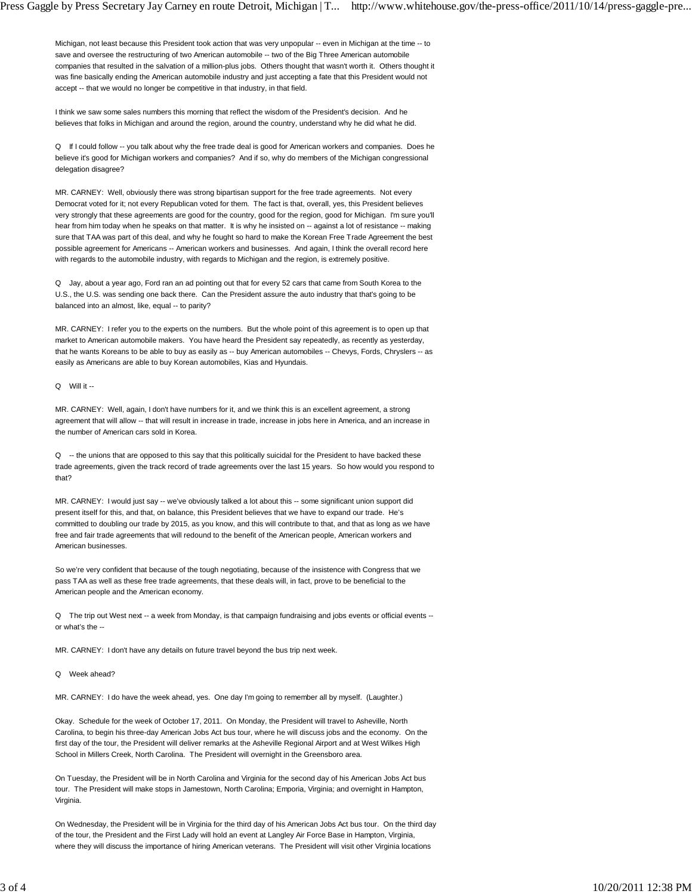Michigan, not least because this President took action that was very unpopular -- even in Michigan at the time -- to save and oversee the restructuring of two American automobile -- two of the Big Three American automobile companies that resulted in the salvation of a million-plus jobs. Others thought that wasn't worth it. Others thought it was fine basically ending the American automobile industry and just accepting a fate that this President would not accept -- that we would no longer be competitive in that industry, in that field.

I think we saw some sales numbers this morning that reflect the wisdom of the President's decision. And he believes that folks in Michigan and around the region, around the country, understand why he did what he did.

Q If I could follow -- you talk about why the free trade deal is good for American workers and companies. Does he believe it's good for Michigan workers and companies? And if so, why do members of the Michigan congressional delegation disagree?

MR. CARNEY: Well, obviously there was strong bipartisan support for the free trade agreements. Not every Democrat voted for it; not every Republican voted for them. The fact is that, overall, yes, this President believes very strongly that these agreements are good for the country, good for the region, good for Michigan. I'm sure you'll hear from him today when he speaks on that matter. It is why he insisted on -- against a lot of resistance -- making sure that TAA was part of this deal, and why he fought so hard to make the Korean Free Trade Agreement the best possible agreement for Americans -- American workers and businesses. And again, I think the overall record here with regards to the automobile industry, with regards to Michigan and the region, is extremely positive.

Q Jay, about a year ago, Ford ran an ad pointing out that for every 52 cars that came from South Korea to the U.S., the U.S. was sending one back there. Can the President assure the auto industry that that's going to be balanced into an almost, like, equal -- to parity?

MR. CARNEY: I refer you to the experts on the numbers. But the whole point of this agreement is to open up that market to American automobile makers. You have heard the President say repeatedly, as recently as yesterday, that he wants Koreans to be able to buy as easily as -- buy American automobiles -- Chevys, Fords, Chryslers -- as easily as Americans are able to buy Korean automobiles, Kias and Hyundais.

## Q Will it --

MR. CARNEY: Well, again, I don't have numbers for it, and we think this is an excellent agreement, a strong agreement that will allow -- that will result in increase in trade, increase in jobs here in America, and an increase in the number of American cars sold in Korea.

Q -- the unions that are opposed to this say that this politically suicidal for the President to have backed these trade agreements, given the track record of trade agreements over the last 15 years. So how would you respond to that?

MR. CARNEY: I would just say -- we've obviously talked a lot about this -- some significant union support did present itself for this, and that, on balance, this President believes that we have to expand our trade. He's committed to doubling our trade by 2015, as you know, and this will contribute to that, and that as long as we have free and fair trade agreements that will redound to the benefit of the American people, American workers and American businesses.

So we're very confident that because of the tough negotiating, because of the insistence with Congress that we pass TAA as well as these free trade agreements, that these deals will, in fact, prove to be beneficial to the American people and the American economy.

Q The trip out West next -- a week from Monday, is that campaign fundraising and jobs events or official events - or what's the --

MR. CARNEY: I don't have any details on future travel beyond the bus trip next week.

## Q Week ahead?

MR. CARNEY: I do have the week ahead, yes. One day I'm going to remember all by myself. (Laughter.)

Okay. Schedule for the week of October 17, 2011. On Monday, the President will travel to Asheville, North Carolina, to begin his three-day American Jobs Act bus tour, where he will discuss jobs and the economy. On the first day of the tour, the President will deliver remarks at the Asheville Regional Airport and at West Wilkes High School in Millers Creek, North Carolina. The President will overnight in the Greensboro area.

On Tuesday, the President will be in North Carolina and Virginia for the second day of his American Jobs Act bus tour. The President will make stops in Jamestown, North Carolina; Emporia, Virginia; and overnight in Hampton, Virginia.

On Wednesday, the President will be in Virginia for the third day of his American Jobs Act bus tour. On the third day of the tour, the President and the First Lady will hold an event at Langley Air Force Base in Hampton, Virginia, where they will discuss the importance of hiring American veterans. The President will visit other Virginia locations